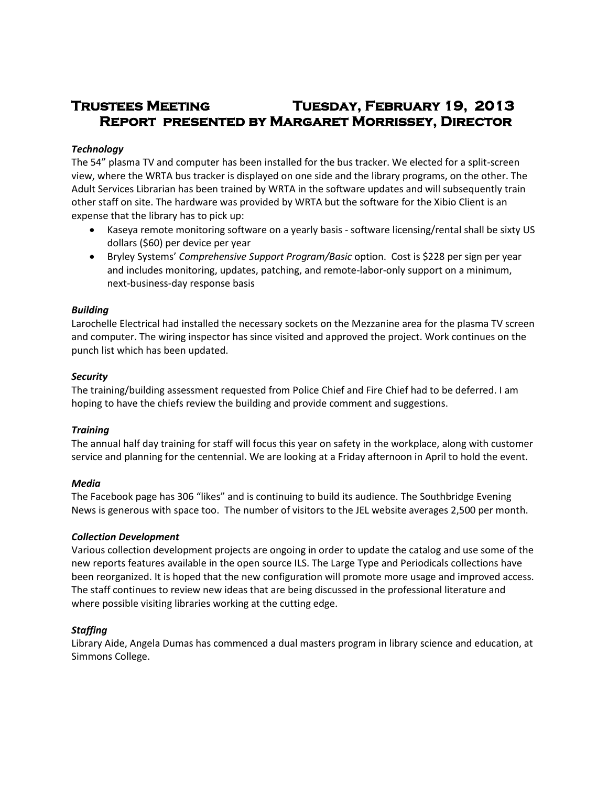# **Trustees Meeting Tuesday, February 19, 2013 Report presented by Margaret Morrissey, Director**

# *Technology*

The 54" plasma TV and computer has been installed for the bus tracker. We elected for a split-screen view, where the WRTA bus tracker is displayed on one side and the library programs, on the other. The Adult Services Librarian has been trained by WRTA in the software updates and will subsequently train other staff on site. The hardware was provided by WRTA but the software for the Xibio Client is an expense that the library has to pick up:

- Kaseya remote monitoring software on a yearly basis software licensing/rental shall be sixty US dollars (\$60) per device per year
- Bryley Systems' *Comprehensive Support Program/Basic* option. Cost is \$228 per sign per year and includes monitoring, updates, patching, and remote-labor-only support on a minimum, next-business-day response basis

## *Building*

Larochelle Electrical had installed the necessary sockets on the Mezzanine area for the plasma TV screen and computer. The wiring inspector has since visited and approved the project. Work continues on the punch list which has been updated.

## *Security*

The training/building assessment requested from Police Chief and Fire Chief had to be deferred. I am hoping to have the chiefs review the building and provide comment and suggestions.

# *Training*

The annual half day training for staff will focus this year on safety in the workplace, along with customer service and planning for the centennial. We are looking at a Friday afternoon in April to hold the event.

# *Media*

The Facebook page has 306 "likes" and is continuing to build its audience. The Southbridge Evening News is generous with space too. The number of visitors to the JEL website averages 2,500 per month.

# *Collection Development*

Various collection development projects are ongoing in order to update the catalog and use some of the new reports features available in the open source ILS. The Large Type and Periodicals collections have been reorganized. It is hoped that the new configuration will promote more usage and improved access. The staff continues to review new ideas that are being discussed in the professional literature and where possible visiting libraries working at the cutting edge.

# *Staffing*

Library Aide, Angela Dumas has commenced a dual masters program in library science and education, at Simmons College.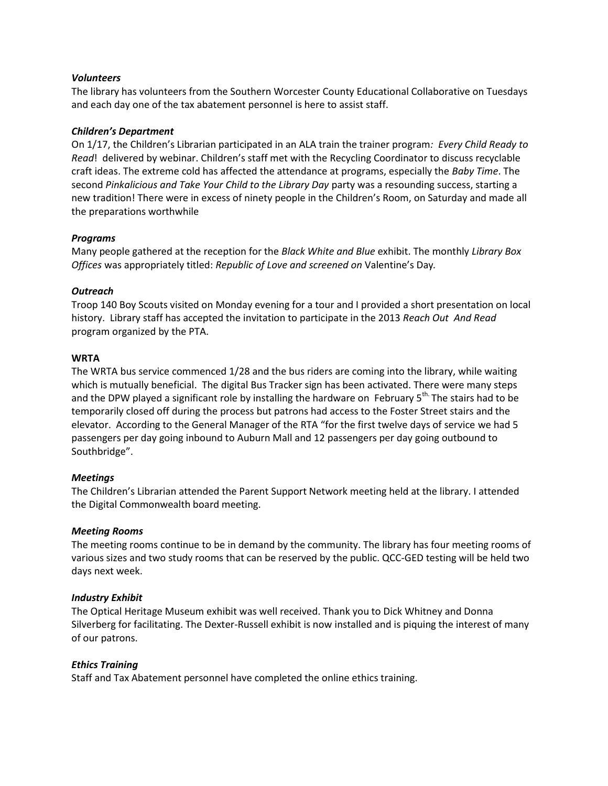## *Volunteers*

The library has volunteers from the Southern Worcester County Educational Collaborative on Tuesdays and each day one of the tax abatement personnel is here to assist staff.

#### *Children's Department*

On 1/17, the Children's Librarian participated in an ALA train the trainer program*: Every Child Ready to Read*! delivered by webinar. Children's staff met with the Recycling Coordinator to discuss recyclable craft ideas. The extreme cold has affected the attendance at programs, especially the *Baby Time*. The second *Pinkalicious and Take Your Child to the Library Day* party was a resounding success, starting a new tradition! There were in excess of ninety people in the Children's Room, on Saturday and made all the preparations worthwhile

## *Programs*

Many people gathered at the reception for the *Black White and Blue* exhibit. The monthly *Library Box Offices* was appropriately titled: *Republic of Love and screened on* Valentine's Day*.*

## *Outreach*

Troop 140 Boy Scouts visited on Monday evening for a tour and I provided a short presentation on local history. Library staff has accepted the invitation to participate in the 2013 *Reach Out And Read* program organized by the PTA.

## **WRTA**

The WRTA bus service commenced 1/28 and the bus riders are coming into the library, while waiting which is mutually beneficial. The digital Bus Tracker sign has been activated. There were many steps and the DPW played a significant role by installing the hardware on February 5<sup>th.</sup> The stairs had to be temporarily closed off during the process but patrons had access to the Foster Street stairs and the elevator. According to the General Manager of the RTA "for the first twelve days of service we had 5 passengers per day going inbound to Auburn Mall and 12 passengers per day going outbound to Southbridge".

#### *Meetings*

The Children's Librarian attended the Parent Support Network meeting held at the library. I attended the Digital Commonwealth board meeting.

#### *Meeting Rooms*

The meeting rooms continue to be in demand by the community. The library has four meeting rooms of various sizes and two study rooms that can be reserved by the public. QCC-GED testing will be held two days next week.

#### *Industry Exhibit*

The Optical Heritage Museum exhibit was well received. Thank you to Dick Whitney and Donna Silverberg for facilitating. The Dexter-Russell exhibit is now installed and is piquing the interest of many of our patrons.

# *Ethics Training*

Staff and Tax Abatement personnel have completed the online ethics training.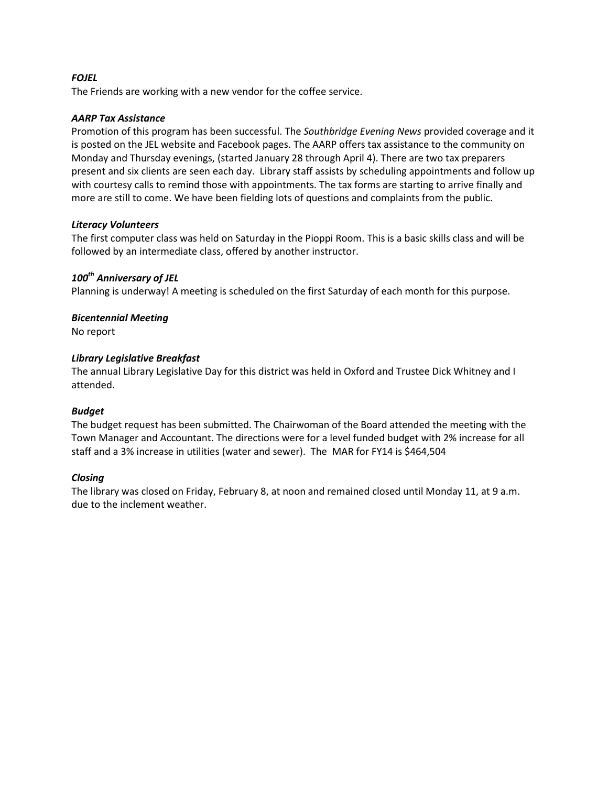# *FOJEL*

The Friends are working with a new vendor for the coffee service.

## *AARP Tax Assistance*

Promotion of this program has been successful. The *Southbridge Evening News* provided coverage and it is posted on the JEL website and Facebook pages. The AARP offers tax assistance to the community on Monday and Thursday evenings, (started January 28 through April 4). There are two tax preparers present and six clients are seen each day. Library staff assists by scheduling appointments and follow up with courtesy calls to remind those with appointments. The tax forms are starting to arrive finally and more are still to come. We have been fielding lots of questions and complaints from the public.

## *Literacy Volunteers*

The first computer class was held on Saturday in the Pioppi Room. This is a basic skills class and will be followed by an intermediate class, offered by another instructor.

# *100th Anniversary of JEL*

Planning is underway! A meeting is scheduled on the first Saturday of each month for this purpose.

# *Bicentennial Meeting*

No report

# *Library Legislative Breakfast*

The annual Library Legislative Day for this district was held in Oxford and Trustee Dick Whitney and I attended.

# *Budget*

The budget request has been submitted. The Chairwoman of the Board attended the meeting with the Town Manager and Accountant. The directions were for a level funded budget with 2% increase for all staff and a 3% increase in utilities (water and sewer). The MAR for FY14 is \$464,504

# *Closing*

The library was closed on Friday, February 8, at noon and remained closed until Monday 11, at 9 a.m. due to the inclement weather.